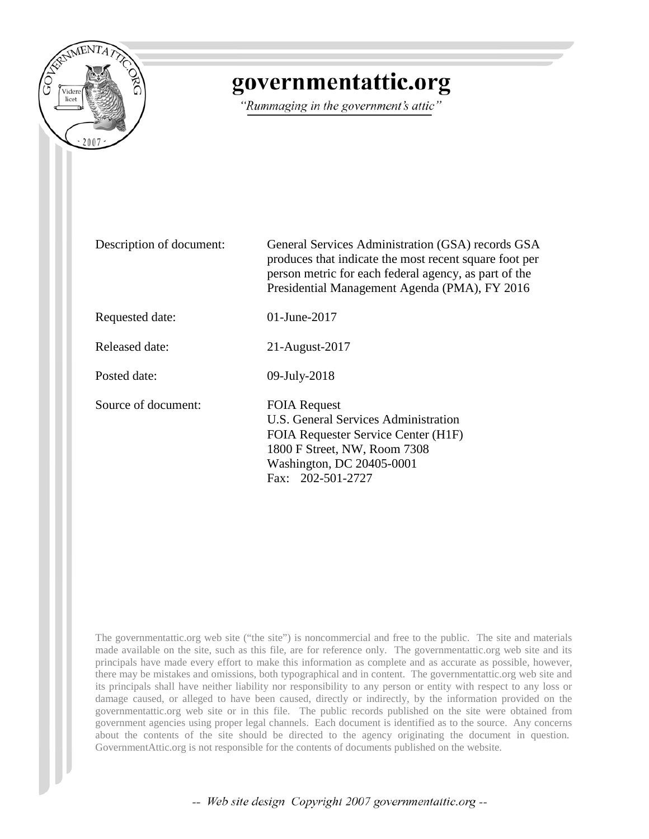

## governmentattic.org

"Rummaging in the government's attic"

Description of document: General Services Administration (GSA) records GSA produces that indicate the most recent square foot per person metric for each federal agency, as part of the Presidential Management Agenda (PMA), FY 2016 Requested date: 01-June-2017 Released date: 21-August-2017 Posted date: 09-July-2018 Source of document: FOIA Request U.S. General Services Administration FOIA Requester Service Center (H1F) 1800 F Street, NW, Room 7308 Washington, DC 20405-0001 Fax: 202-501-2727

The governmentattic.org web site ("the site") is noncommercial and free to the public. The site and materials made available on the site, such as this file, are for reference only. The governmentattic.org web site and its principals have made every effort to make this information as complete and as accurate as possible, however, there may be mistakes and omissions, both typographical and in content. The governmentattic.org web site and its principals shall have neither liability nor responsibility to any person or entity with respect to any loss or damage caused, or alleged to have been caused, directly or indirectly, by the information provided on the governmentattic.org web site or in this file. The public records published on the site were obtained from government agencies using proper legal channels. Each document is identified as to the source. Any concerns about the contents of the site should be directed to the agency originating the document in question. GovernmentAttic.org is not responsible for the contents of documents published on the website.

-- Web site design Copyright 2007 governmentattic.org --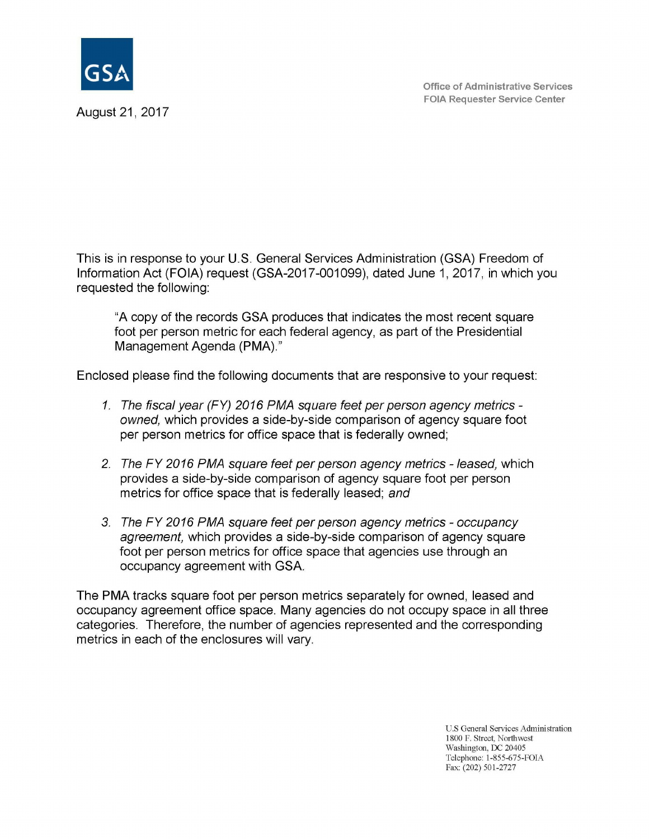

August 21, 2017

This is in response to your U.S. General Services Administration (GSA) Freedom of Information Act (FOIA) request (GSA-2017-001099), dated June 1, 2017, in which you requested the following:

"A copy of the records GSA produces that indicates the most recent square foot per person metric for each federal agency, as part of the Presidential Management Agenda (PMA)."

Enclosed please find the following documents that are responsive to your request:

- 1. The fiscal year (FY) 2016 PMA square feet per person agency metrics owned, which provides a side-by-side comparison of agency square foot per person metrics for office space that is federally owned;
- 2. The FY 2016 PMA square feet per person agency metrics leased, which provides a side-by-side comparison of agency square foot per person metrics for office space that is federally leased; and
- 3. The FY 2016 PMA square feet per person agency metrics occupancy agreement, which provides a side-by-side comparison of agency square foot per person metrics for office space that agencies use through an occupancy agreement with GSA.

The PMA tracks square foot per person metrics separately for owned, leased and occupancy agreement office space. Many agencies do not occupy space in all three categories. Therefore, the number of agencies represented and the corresponding metrics in each of the enclosures will vary.

> U.S General Services Administration 1800 F. Street, Northwest Washington, OC 20405 Telephone: 1-855-675-FOIA Fax: (202) 501-2727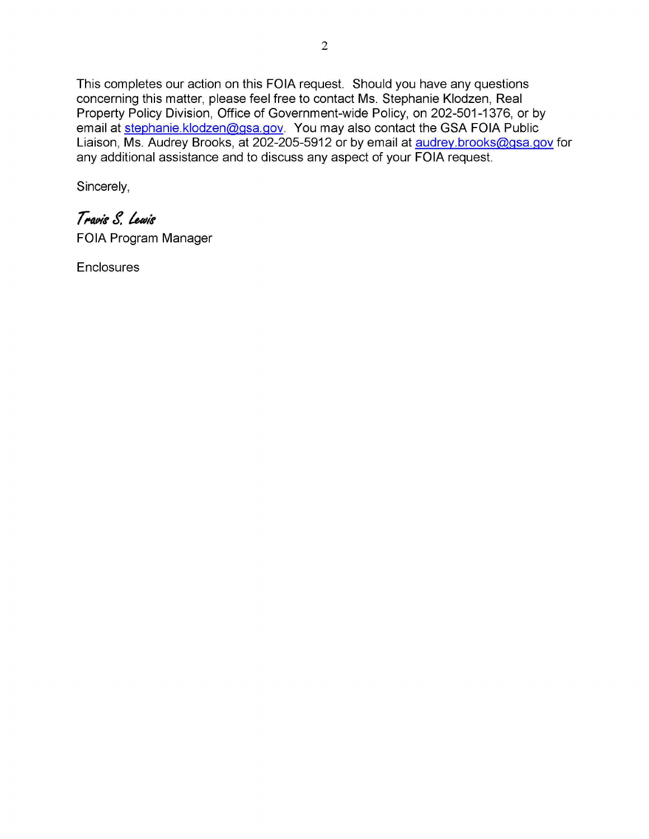This completes our action on this FOIA request. Should you have any questions concerning this matter, please feel free to contact Ms. Stephanie Klodzen, Real Property Policy Division, Office of Government-wide Policy, on 202-501-1376, or by email at stephanie.klodzen@gsa.gov. You may also contact the GSA FOIA Public Liaison, Ms. Audrey Brooks, at 202-205-5912 or by email at audrey.brooks@gsa.gov for any additional assistance and to discuss any aspect of your FOIA request.

Sincerely,

## Travis S. Lewis

FOIA Program Manager

**Enclosures**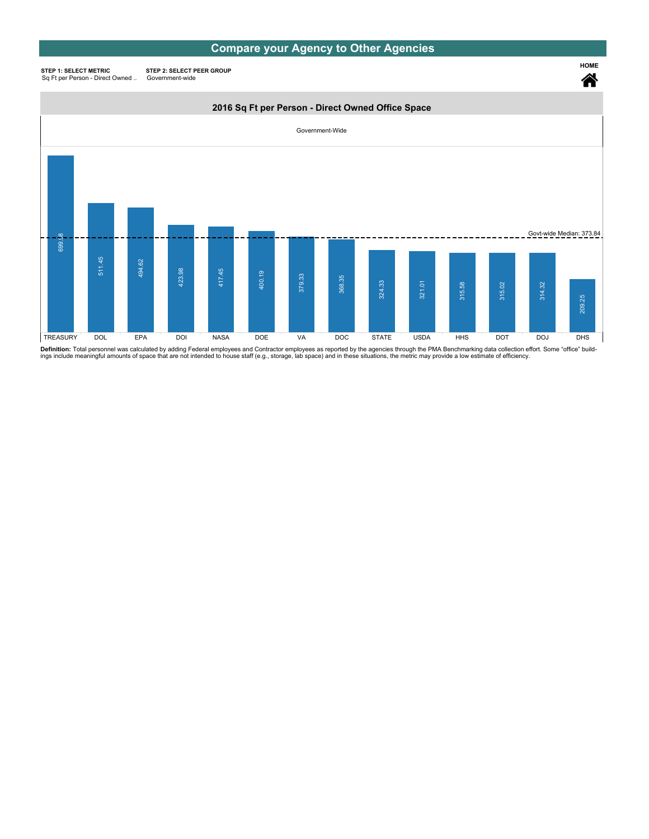### Compare your Agency to Other Agencies

HOME

谷

STEP 1: SELECT METRIC Sq Ft per Person - Direct Owned ..

STEP 2: SELECT PEER GROUP Government-wide

#### 2016 Sq Ft per Person - Direct Owned Office Space



Definition: Total personnel was calculated by adding Federal employees and Contractor employees as reported by the agencies through the PMA Benchmarking data collection effort. Some "office" build-<br>ings include meaningful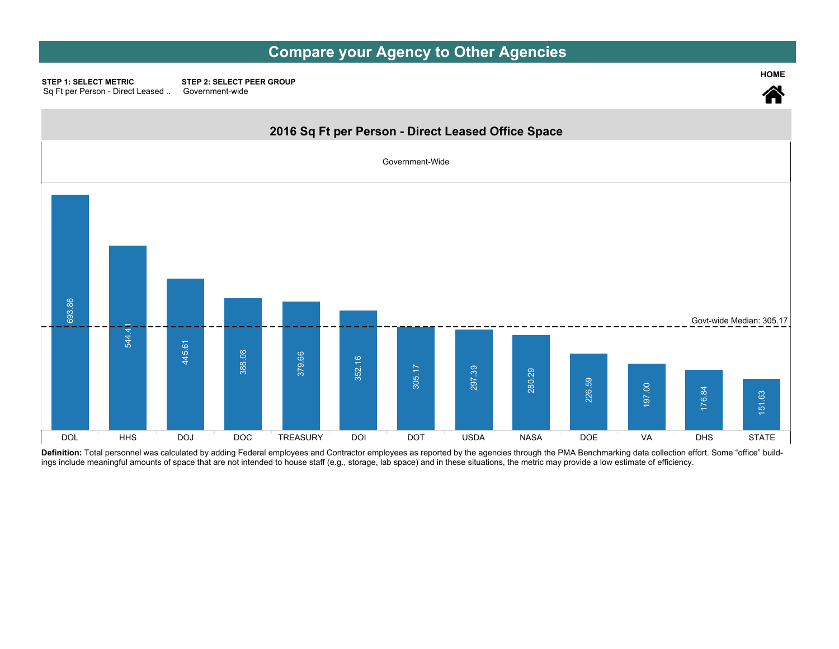## Compare your Agency to Other Agencies

HOME

STEP 2: SELECT PEER GROUP Government-wide **STEP 1: SELECT METRIC** Sq Ft per Person - Direct Leased..



Definition: Total personnel was calculated by adding Federal employees and Contractor employees as reported by the agencies through the PMA Benchmarking data collection effort. Some "office" buildings include meaningful amounts of space that are not intended to house staff (e.g., storage, lab space) and in these situations, the metric may provide a low estimate of efficiency.